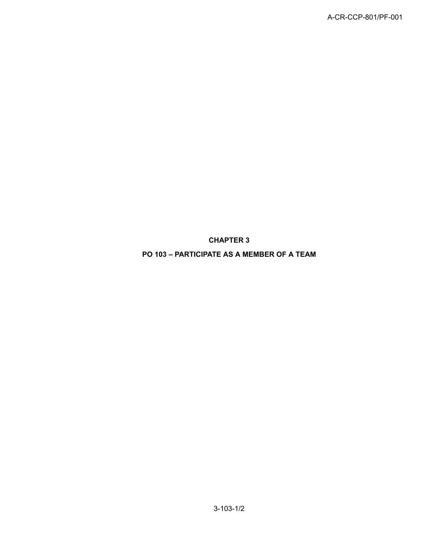**CHAPTER 3**

**PO 103 – PARTICIPATE AS A MEMBER OF A TEAM**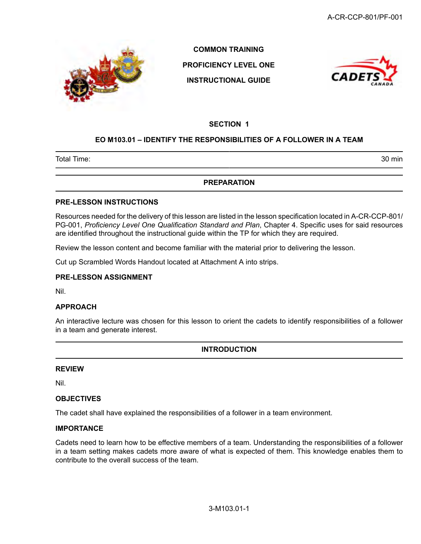

**COMMON TRAINING**

**PROFICIENCY LEVEL ONE**

**INSTRUCTIONAL GUIDE**



## **SECTION 1**

# **EO M103.01 – IDENTIFY THE RESPONSIBILITIES OF A FOLLOWER IN A TEAM**

Total Time: 30 min

# **PREPARATION**

#### **PRE-LESSON INSTRUCTIONS**

Resources needed for the delivery of this lesson are listed in the lesson specification located in A-CR-CCP-801/ PG-001, *Proficiency Level One Qualification Standard and Plan*, Chapter 4. Specific uses for said resources are identified throughout the instructional guide within the TP for which they are required.

Review the lesson content and become familiar with the material prior to delivering the lesson.

Cut up Scrambled Words Handout located at Attachment A into strips.

# **PRE-LESSON ASSIGNMENT**

Nil.

#### **APPROACH**

An interactive lecture was chosen for this lesson to orient the cadets to identify responsibilities of a follower in a team and generate interest.

# **INTRODUCTION**

#### **REVIEW**

Nil.

#### **OBJECTIVES**

The cadet shall have explained the responsibilities of a follower in a team environment.

# **IMPORTANCE**

Cadets need to learn how to be effective members of a team. Understanding the responsibilities of a follower in a team setting makes cadets more aware of what is expected of them. This knowledge enables them to contribute to the overall success of the team.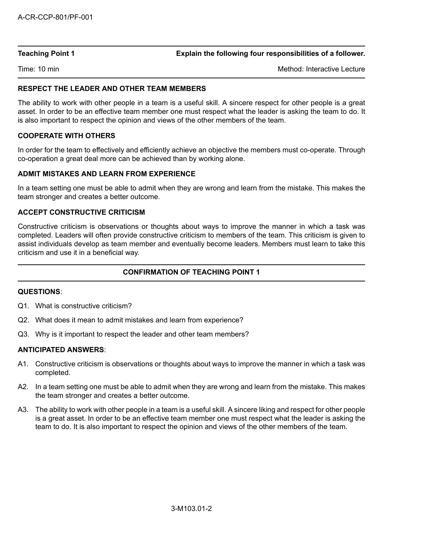**Teaching Point 1 Explain the following four responsibilities of a follower.**

Time: 10 min Method: Interactive Lecture Communication of the Method: Interactive Lecture

# **RESPECT THE LEADER AND OTHER TEAM MEMBERS**

The ability to work with other people in a team is a useful skill. A sincere respect for other people is a great asset. In order to be an effective team member one must respect what the leader is asking the team to do. It is also important to respect the opinion and views of the other members of the team.

# **COOPERATE WITH OTHERS**

In order for the team to effectively and efficiently achieve an objective the members must co-operate. Through co-operation a great deal more can be achieved than by working alone.

# **ADMIT MISTAKES AND LEARN FROM EXPERIENCE**

In a team setting one must be able to admit when they are wrong and learn from the mistake. This makes the team stronger and creates a better outcome.

# **ACCEPT CONSTRUCTIVE CRITICISM**

Constructive criticism is observations or thoughts about ways to improve the manner in which a task was completed. Leaders will often provide constructive criticism to members of the team. This criticism is given to assist individuals develop as team member and eventually become leaders. Members must learn to take this criticism and use it in a beneficial way.

# **CONFIRMATION OF TEACHING POINT 1**

# **QUESTIONS**:

- Q1. What is constructive criticism?
- Q2. What does it mean to admit mistakes and learn from experience?
- Q3. Why is it important to respect the leader and other team members?

# **ANTICIPATED ANSWERS**:

- A1. Constructive criticism is observations or thoughts about ways to improve the manner in which a task was completed.
- A2. In a team setting one must be able to admit when they are wrong and learn from the mistake. This makes the team stronger and creates a better outcome.
- A3. The ability to work with other people in a team is a useful skill. A sincere liking and respect for other people is a great asset. In order to be an effective team member one must respect what the leader is asking the team to do. It is also important to respect the opinion and views of the other members of the team.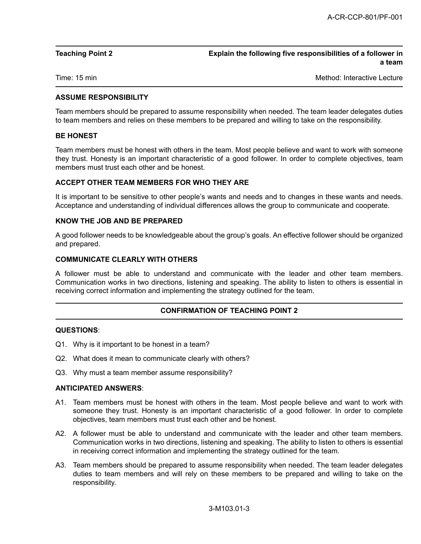# **Teaching Point 2 Explain the following five responsibilities of a follower in a team**

Time: 15 min Method: Interactive Lecture Controllering and Method: Interactive Lecture

#### **ASSUME RESPONSIBILITY**

Team members should be prepared to assume responsibility when needed. The team leader delegates duties to team members and relies on these members to be prepared and willing to take on the responsibility.

#### **BE HONEST**

Team members must be honest with others in the team. Most people believe and want to work with someone they trust. Honesty is an important characteristic of a good follower. In order to complete objectives, team members must trust each other and be honest.

# **ACCEPT OTHER TEAM MEMBERS FOR WHO THEY ARE**

It is important to be sensitive to other people's wants and needs and to changes in these wants and needs. Acceptance and understanding of individual differences allows the group to communicate and cooperate.

#### **KNOW THE JOB AND BE PREPARED**

A good follower needs to be knowledgeable about the group's goals. An effective follower should be organized and prepared.

#### **COMMUNICATE CLEARLY WITH OTHERS**

A follower must be able to understand and communicate with the leader and other team members. Communication works in two directions, listening and speaking. The ability to listen to others is essential in receiving correct information and implementing the strategy outlined for the team.

# **CONFIRMATION OF TEACHING POINT 2**

#### **QUESTIONS**:

- Q1. Why is it important to be honest in a team?
- Q2. What does it mean to communicate clearly with others?
- Q3. Why must a team member assume responsibility?

#### **ANTICIPATED ANSWERS**:

- A1. Team members must be honest with others in the team. Most people believe and want to work with someone they trust. Honesty is an important characteristic of a good follower. In order to complete objectives, team members must trust each other and be honest.
- A2. A follower must be able to understand and communicate with the leader and other team members. Communication works in two directions, listening and speaking. The ability to listen to others is essential in receiving correct information and implementing the strategy outlined for the team.
- A3. Team members should be prepared to assume responsibility when needed. The team leader delegates duties to team members and will rely on these members to be prepared and willing to take on the responsibility.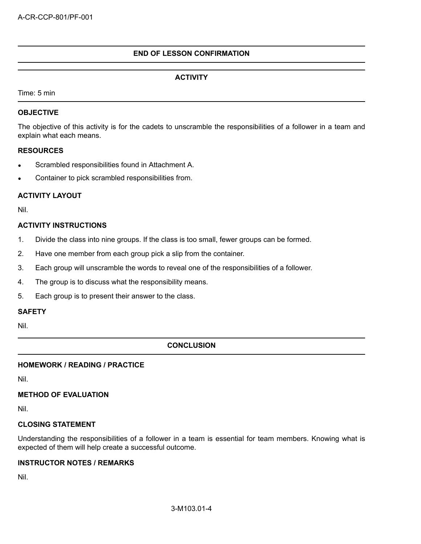# **END OF LESSON CONFIRMATION**

# **ACTIVITY**

Time: 5 min

#### **OBJECTIVE**

The objective of this activity is for the cadets to unscramble the responsibilities of a follower in a team and explain what each means.

### **RESOURCES**

- Scrambled responsibilities found in Attachment A.
- Container to pick scrambled responsibilities from.

# **ACTIVITY LAYOUT**

Nil.

# **ACTIVITY INSTRUCTIONS**

- 1. Divide the class into nine groups. If the class is too small, fewer groups can be formed.
- 2. Have one member from each group pick a slip from the container.
- 3. Each group will unscramble the words to reveal one of the responsibilities of a follower.
- 4. The group is to discuss what the responsibility means.
- 5. Each group is to present their answer to the class.

# **SAFETY**

Nil.

# **CONCLUSION**

# **HOMEWORK / READING / PRACTICE**

Nil.

# **METHOD OF EVALUATION**

Nil.

#### **CLOSING STATEMENT**

Understanding the responsibilities of a follower in a team is essential for team members. Knowing what is expected of them will help create a successful outcome.

# **INSTRUCTOR NOTES / REMARKS**

Nil.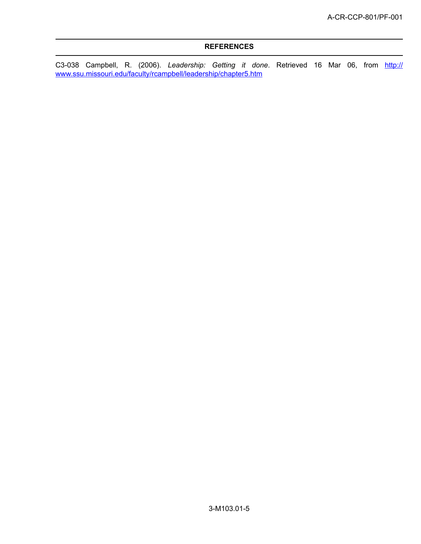# **REFERENCES**

C3-038 Campbell, R. (2006). *Leadership: Getting it done*. Retrieved 16 Mar 06, from http:// www.ssu.missouri.edu/faculty/rcampbell/leadership/chapter5.htm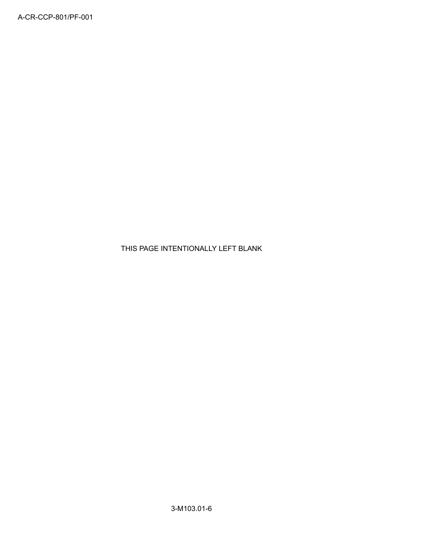THIS PAGE INTENTIONALLY LEFT BLANK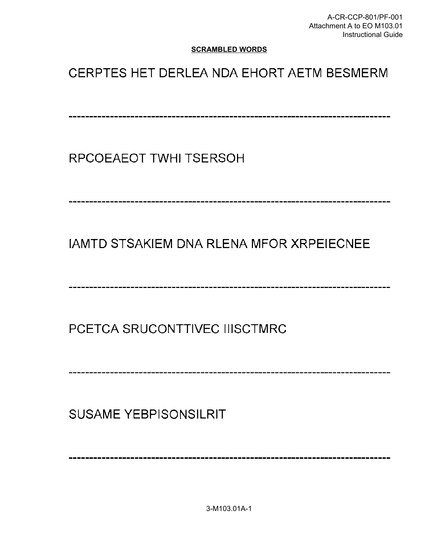A-CR-CCP-801/PF-001 Attachment A to EO M103.01 Instructional Guide

# **SCRAMBLED WORDS**

# CERPTES HET DERLEA NDA EHORT AETM BESMERM

RPCOEAEOT TWHI TSERSOH

IAMTD STSAKIEM DNA RLENA MFOR XRPEIECNEE

PCETCA SRUCONTTIVEC IIISCTMRC

**SUSAME YEBPISONSILRIT** 

3-M103.01A-1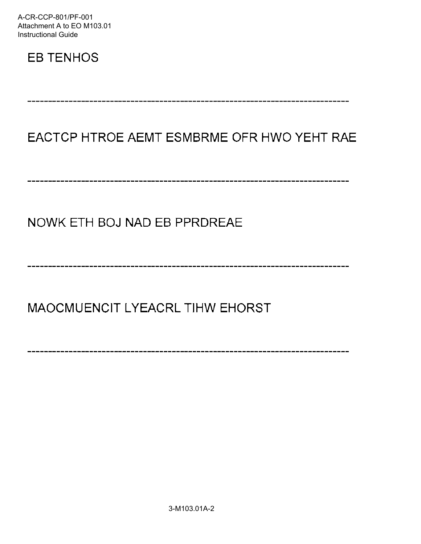A-CR-CCP-801/PF-001 Attachment A to EO M103.01 Instructional Guide

# **EB TENHOS**

# EACTCP HTROE AEMT ESMBRME OFR HWO YEHT RAE

# NOWK ETH BOJ NAD EB PPRDREAE

# MAOCMUENCIT LYEACRL TIHW EHORST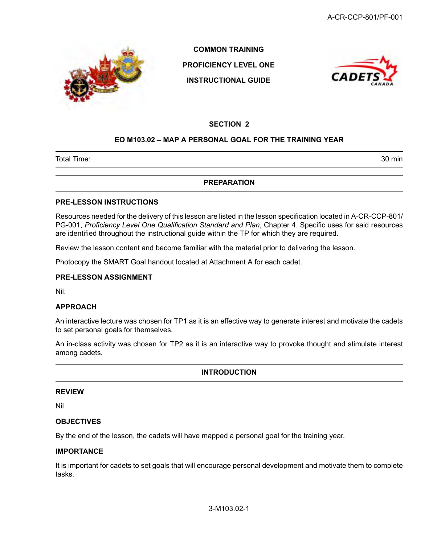

**COMMON TRAINING**

**PROFICIENCY LEVEL ONE**





#### **SECTION 2**

### **EO M103.02 – MAP A PERSONAL GOAL FOR THE TRAINING YEAR**

Total Time: 30 min

# **PREPARATION**

#### **PRE-LESSON INSTRUCTIONS**

Resources needed for the delivery of this lesson are listed in the lesson specification located in A-CR-CCP-801/ PG-001, *Proficiency Level One Qualification Standard and Plan*, Chapter 4. Specific uses for said resources are identified throughout the instructional guide within the TP for which they are required.

Review the lesson content and become familiar with the material prior to delivering the lesson.

Photocopy the SMART Goal handout located at Attachment A for each cadet.

# **PRE-LESSON ASSIGNMENT**

Nil.

#### **APPROACH**

An interactive lecture was chosen for TP1 as it is an effective way to generate interest and motivate the cadets to set personal goals for themselves.

An in-class activity was chosen for TP2 as it is an interactive way to provoke thought and stimulate interest among cadets.

**INTRODUCTION**

#### **REVIEW**

Nil.

#### **OBJECTIVES**

By the end of the lesson, the cadets will have mapped a personal goal for the training year.

#### **IMPORTANCE**

It is important for cadets to set goals that will encourage personal development and motivate them to complete tasks.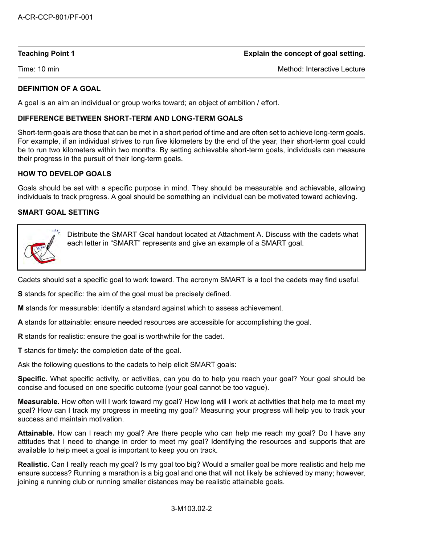**Teaching Point 1 Explain the concept of goal setting.**

Time: 10 min Method: Interactive Lecture Communication of the Method: Interactive Lecture

# **DEFINITION OF A GOAL**

A goal is an aim an individual or group works toward; an object of ambition / effort.

# **DIFFERENCE BETWEEN SHORT-TERM AND LONG-TERM GOALS**

Short-term goals are those that can be met in a short period of time and are often set to achieve long-term goals. For example, if an individual strives to run five kilometers by the end of the year, their short-term goal could be to run two kilometers within two months. By setting achievable short-term goals, individuals can measure their progress in the pursuit of their long-term goals.

# **HOW TO DEVELOP GOALS**

Goals should be set with a specific purpose in mind. They should be measurable and achievable, allowing individuals to track progress. A goal should be something an individual can be motivated toward achieving.

# **SMART GOAL SETTING**



Distribute the SMART Goal handout located at Attachment A. Discuss with the cadets what each letter in "SMART" represents and give an example of a SMART goal.

Cadets should set a specific goal to work toward. The acronym SMART is a tool the cadets may find useful.

**S** stands for specific: the aim of the goal must be precisely defined.

**M** stands for measurable: identify a standard against which to assess achievement.

**A** stands for attainable: ensure needed resources are accessible for accomplishing the goal.

**R** stands for realistic: ensure the goal is worthwhile for the cadet.

**T** stands for timely: the completion date of the goal.

Ask the following questions to the cadets to help elicit SMART goals:

**Specific.** What specific activity, or activities, can you do to help you reach your goal? Your goal should be concise and focused on one specific outcome (your goal cannot be too vague).

**Measurable.** How often will I work toward my goal? How long will I work at activities that help me to meet my goal? How can I track my progress in meeting my goal? Measuring your progress will help you to track your success and maintain motivation.

**Attainable.** How can I reach my goal? Are there people who can help me reach my goal? Do I have any attitudes that I need to change in order to meet my goal? Identifying the resources and supports that are available to help meet a goal is important to keep you on track.

**Realistic.** Can I really reach my goal? Is my goal too big? Would a smaller goal be more realistic and help me ensure success? Running a marathon is a big goal and one that will not likely be achieved by many; however, joining a running club or running smaller distances may be realistic attainable goals.

3-M103.02-2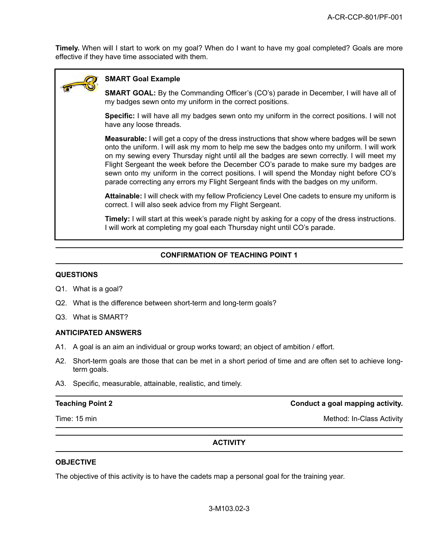**Timely.** When will I start to work on my goal? When do I want to have my goal completed? Goals are more effective if they have time associated with them.

# **SMART Goal Example**

**SMART GOAL:** By the Commanding Officer's (CO's) parade in December, I will have all of my badges sewn onto my uniform in the correct positions.

**Specific:** I will have all my badges sewn onto my uniform in the correct positions. I will not have any loose threads.

**Measurable:** I will get a copy of the dress instructions that show where badges will be sewn onto the uniform. I will ask my mom to help me sew the badges onto my uniform. I will work on my sewing every Thursday night until all the badges are sewn correctly. I will meet my Flight Sergeant the week before the December CO's parade to make sure my badges are sewn onto my uniform in the correct positions. I will spend the Monday night before CO's parade correcting any errors my Flight Sergeant finds with the badges on my uniform.

**Attainable:** I will check with my fellow Proficiency Level One cadets to ensure my uniform is correct. I will also seek advice from my Flight Sergeant.

**Timely:** I will start at this week's parade night by asking for a copy of the dress instructions. I will work at completing my goal each Thursday night until CO's parade.

# **CONFIRMATION OF TEACHING POINT 1**

#### **QUESTIONS**

- Q1. What is a goal?
- Q2. What is the difference between short-term and long-term goals?
- Q3. What is SMART?

#### **ANTICIPATED ANSWERS**

- A1. A goal is an aim an individual or group works toward; an object of ambition / effort.
- A2. Short-term goals are those that can be met in a short period of time and are often set to achieve longterm goals.
- A3. Specific, measurable, attainable, realistic, and timely.

#### **Teaching Point 2 Conduct a goal mapping activity.**

#### Time: 15 min Method: In-Class Activity

# **ACTIVITY**

#### **OBJECTIVE**

The objective of this activity is to have the cadets map a personal goal for the training year.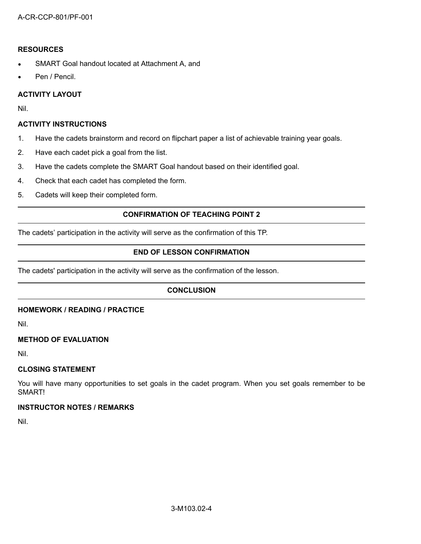# **RESOURCES**

- SMART Goal handout located at Attachment A, and
- Pen / Pencil.

# **ACTIVITY LAYOUT**

Nil.

# **ACTIVITY INSTRUCTIONS**

- 1. Have the cadets brainstorm and record on flipchart paper a list of achievable training year goals.
- 2. Have each cadet pick a goal from the list.
- 3. Have the cadets complete the SMART Goal handout based on their identified goal.
- 4. Check that each cadet has completed the form.
- 5. Cadets will keep their completed form.

# **CONFIRMATION OF TEACHING POINT 2**

The cadets' participation in the activity will serve as the confirmation of this TP.

# **END OF LESSON CONFIRMATION**

The cadets' participation in the activity will serve as the confirmation of the lesson.

# **CONCLUSION**

# **HOMEWORK / READING / PRACTICE**

Nil.

# **METHOD OF EVALUATION**

Nil.

# **CLOSING STATEMENT**

You will have many opportunities to set goals in the cadet program. When you set goals remember to be SMART!

# **INSTRUCTOR NOTES / REMARKS**

Nil.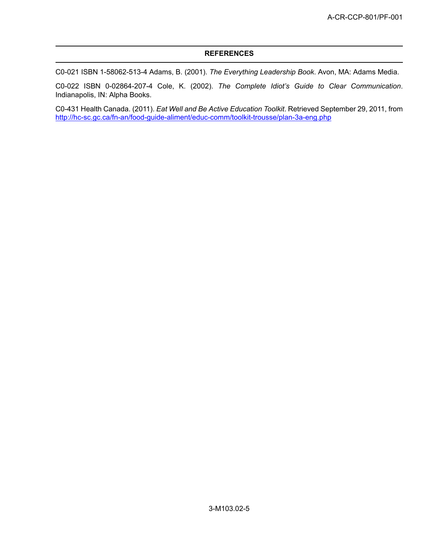# **REFERENCES**

C0-021 ISBN 1-58062-513-4 Adams, B. (2001). *The Everything Leadership Book*. Avon, MA: Adams Media.

C0-022 ISBN 0-02864-207-4 Cole, K. (2002). *The Complete Idiot's Guide to Clear Communication*. Indianapolis, IN: Alpha Books.

C0-431 Health Canada. (2011). *Eat Well and Be Active Education Toolkit*. Retrieved September 29, 2011, from http://hc-sc.gc.ca/fn-an/food-guide-aliment/educ-comm/toolkit-trousse/plan-3a-eng.php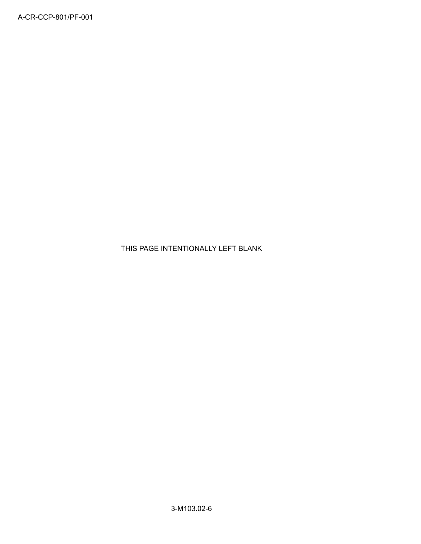THIS PAGE INTENTIONALLY LEFT BLANK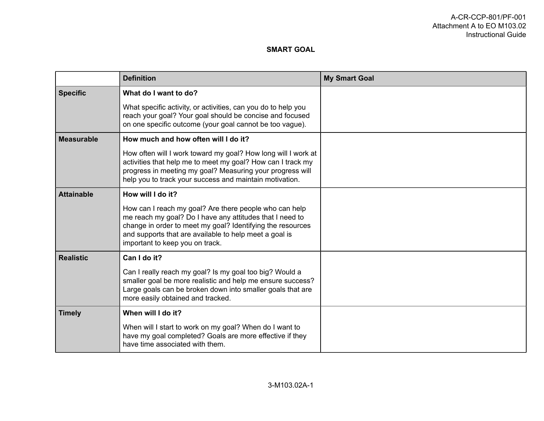# **SMART GOAL**

|                   | <b>Definition</b>                                                                                                                                                                                                                                                             | <b>My Smart Goal</b> |
|-------------------|-------------------------------------------------------------------------------------------------------------------------------------------------------------------------------------------------------------------------------------------------------------------------------|----------------------|
| <b>Specific</b>   | What do I want to do?                                                                                                                                                                                                                                                         |                      |
|                   | What specific activity, or activities, can you do to help you<br>reach your goal? Your goal should be concise and focused<br>on one specific outcome (your goal cannot be too vague).                                                                                         |                      |
| <b>Measurable</b> | How much and how often will I do it?                                                                                                                                                                                                                                          |                      |
|                   | How often will I work toward my goal? How long will I work at<br>activities that help me to meet my goal? How can I track my<br>progress in meeting my goal? Measuring your progress will<br>help you to track your success and maintain motivation.                          |                      |
| <b>Attainable</b> | How will I do it?                                                                                                                                                                                                                                                             |                      |
|                   | How can I reach my goal? Are there people who can help<br>me reach my goal? Do I have any attitudes that I need to<br>change in order to meet my goal? Identifying the resources<br>and supports that are available to help meet a goal is<br>important to keep you on track. |                      |
| <b>Realistic</b>  | Can I do it?                                                                                                                                                                                                                                                                  |                      |
|                   | Can I really reach my goal? Is my goal too big? Would a<br>smaller goal be more realistic and help me ensure success?<br>Large goals can be broken down into smaller goals that are<br>more easily obtained and tracked.                                                      |                      |
| <b>Timely</b>     | When will I do it?                                                                                                                                                                                                                                                            |                      |
|                   | When will I start to work on my goal? When do I want to<br>have my goal completed? Goals are more effective if they<br>have time associated with them.                                                                                                                        |                      |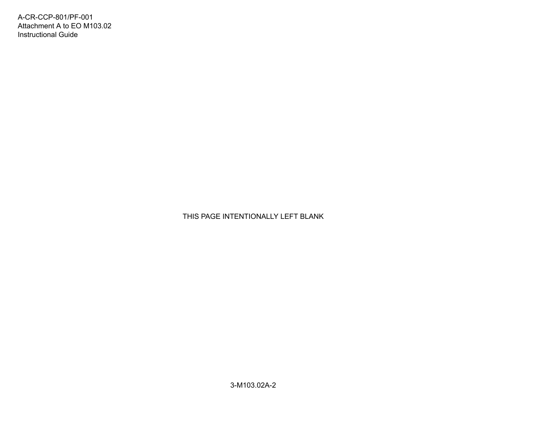A-CR-CCP-801/PF-001 Attachment A to EO M103.02 Instructional Guide

THIS PAGE INTENTIONALLY LEFT BLANK

3-M103.02A-2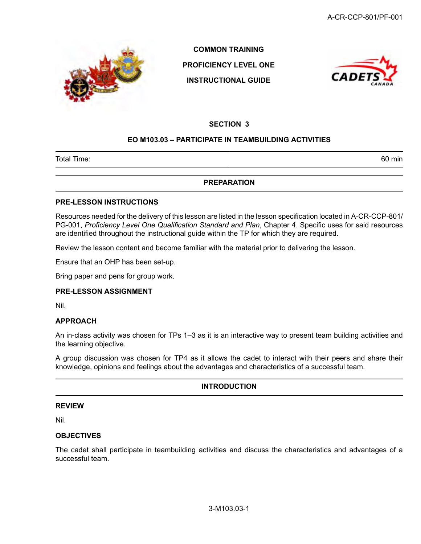

**COMMON TRAINING**

**PROFICIENCY LEVEL ONE**

**INSTRUCTIONAL GUIDE**



# **SECTION 3**

#### **EO M103.03 – PARTICIPATE IN TEAMBUILDING ACTIVITIES**

Total Time: 60 min

# **PREPARATION**

#### **PRE-LESSON INSTRUCTIONS**

Resources needed for the delivery of this lesson are listed in the lesson specification located in A-CR-CCP-801/ PG-001, *Proficiency Level One Qualification Standard and Plan*, Chapter 4. Specific uses for said resources are identified throughout the instructional guide within the TP for which they are required.

Review the lesson content and become familiar with the material prior to delivering the lesson.

Ensure that an OHP has been set-up.

Bring paper and pens for group work.

### **PRE-LESSON ASSIGNMENT**

Nil.

#### **APPROACH**

An in-class activity was chosen for TPs 1–3 as it is an interactive way to present team building activities and the learning objective.

A group discussion was chosen for TP4 as it allows the cadet to interact with their peers and share their knowledge, opinions and feelings about the advantages and characteristics of a successful team.

#### **INTRODUCTION**

#### **REVIEW**

Nil.

#### **OBJECTIVES**

The cadet shall participate in teambuilding activities and discuss the characteristics and advantages of a successful team.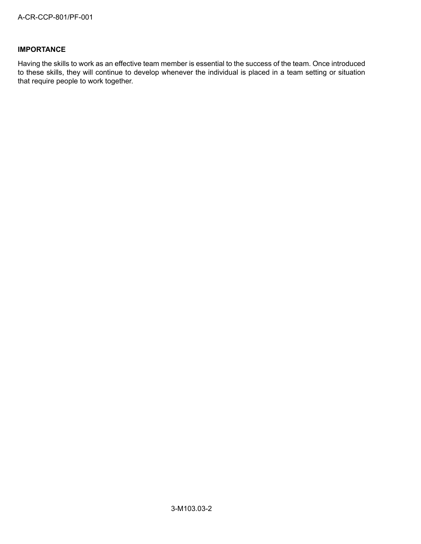# **IMPORTANCE**

Having the skills to work as an effective team member is essential to the success of the team. Once introduced to these skills, they will continue to develop whenever the individual is placed in a team setting or situation that require people to work together.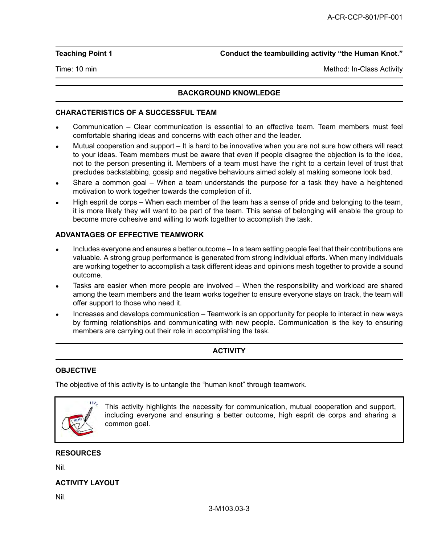### **Teaching Point 1 Conduct the teambuilding activity "the Human Knot."**

Time: 10 min Method: In-Class Activity

# **BACKGROUND KNOWLEDGE**

#### **CHARACTERISTICS OF A SUCCESSFUL TEAM**

- Communication Clear communication is essential to an effective team. Team members must feel comfortable sharing ideas and concerns with each other and the leader.
- Mutual cooperation and support It is hard to be innovative when you are not sure how others will react to your ideas. Team members must be aware that even if people disagree the objection is to the idea, not to the person presenting it. Members of a team must have the right to a certain level of trust that precludes backstabbing, gossip and negative behaviours aimed solely at making someone look bad.
- Share a common goal When a team understands the purpose for a task they have a heightened motivation to work together towards the completion of it.
- High esprit de corps When each member of the team has a sense of pride and belonging to the team, it is more likely they will want to be part of the team. This sense of belonging will enable the group to become more cohesive and willing to work together to accomplish the task.

# **ADVANTAGES OF EFFECTIVE TEAMWORK**

- Includes everyone and ensures a better outcome – In a team setting people feel that their contributions are valuable. A strong group performance is generated from strong individual efforts. When many individuals are working together to accomplish a task different ideas and opinions mesh together to provide a sound outcome.
- Tasks are easier when more people are involved When the responsibility and workload are shared among the team members and the team works together to ensure everyone stays on track, the team will offer support to those who need it.
- Increases and develops communication – Teamwork is an opportunity for people to interact in new ways by forming relationships and communicating with new people. Communication is the key to ensuring members are carrying out their role in accomplishing the task.

# **ACTIVITY**

#### **OBJECTIVE**

The objective of this activity is to untangle the "human knot" through teamwork.



This activity highlights the necessity for communication, mutual cooperation and support, including everyone and ensuring a better outcome, high esprit de corps and sharing a common goal.

# **RESOURCES**

Nil.

# **ACTIVITY LAYOUT**

Nil.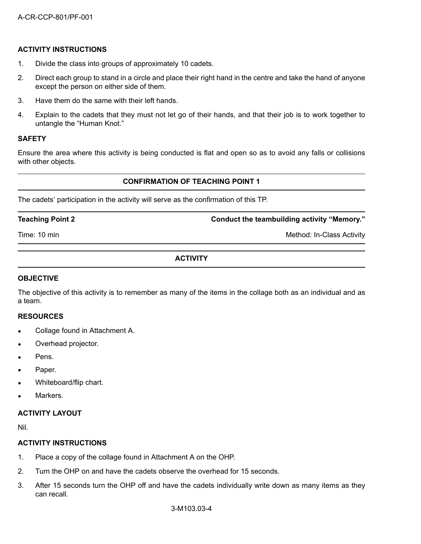# **ACTIVITY INSTRUCTIONS**

- 1. Divide the class into groups of approximately 10 cadets.
- 2. Direct each group to stand in a circle and place their right hand in the centre and take the hand of anyone except the person on either side of them.
- 3. Have them do the same with their left hands.
- 4. Explain to the cadets that they must not let go of their hands, and that their job is to work together to untangle the "Human Knot."

#### **SAFETY**

Ensure the area where this activity is being conducted is flat and open so as to avoid any falls or collisions with other objects.

# **CONFIRMATION OF TEACHING POINT 1**

The cadets' participation in the activity will serve as the confirmation of this TP.

**Teaching Point 2 Conduct the teambuilding activity "Memory."**

Time: 10 min Method: In-Class Activity

#### **ACTIVITY**

#### **OBJECTIVE**

The objective of this activity is to remember as many of the items in the collage both as an individual and as a team.

#### **RESOURCES**

- Collage found in Attachment A.
- Overhead projector.
- Pens.
- Paper.
- Whiteboard/flip chart.
- Markers.

# **ACTIVITY LAYOUT**

Nil.

#### **ACTIVITY INSTRUCTIONS**

- 1. Place a copy of the collage found in Attachment A on the OHP.
- 2. Turn the OHP on and have the cadets observe the overhead for 15 seconds.
- 3. After 15 seconds turn the OHP off and have the cadets individually write down as many items as they can recall.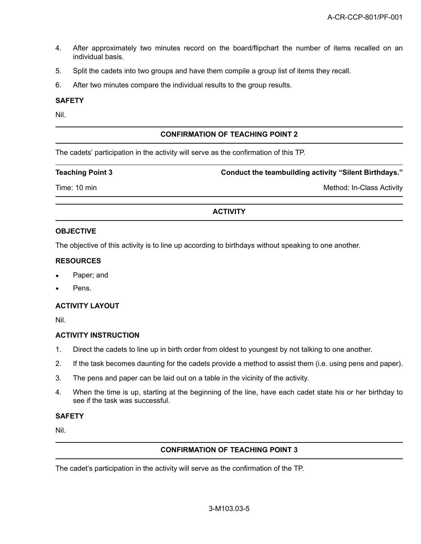- 4. After approximately two minutes record on the board/flipchart the number of items recalled on an individual basis.
- 5. Split the cadets into two groups and have them compile a group list of items they recall.
- 6. After two minutes compare the individual results to the group results.

# **SAFETY**

Nil.

# **CONFIRMATION OF TEACHING POINT 2**

The cadets' participation in the activity will serve as the confirmation of this TP.

**Teaching Point 3 Conduct the teambuilding activity "Silent Birthdays."**

Time: 10 min Method: In-Class Activity

# **ACTIVITY**

#### **OBJECTIVE**

The objective of this activity is to line up according to birthdays without speaking to one another.

### **RESOURCES**

- Paper; and
- Pens.

# **ACTIVITY LAYOUT**

Nil.

#### **ACTIVITY INSTRUCTION**

- 1. Direct the cadets to line up in birth order from oldest to youngest by not talking to one another.
- 2. If the task becomes daunting for the cadets provide a method to assist them (i.e. using pens and paper).
- 3. The pens and paper can be laid out on a table in the vicinity of the activity.
- 4. When the time is up, starting at the beginning of the line, have each cadet state his or her birthday to see if the task was successful.

# **SAFETY**

Nil.

# **CONFIRMATION OF TEACHING POINT 3**

The cadet's participation in the activity will serve as the confirmation of the TP.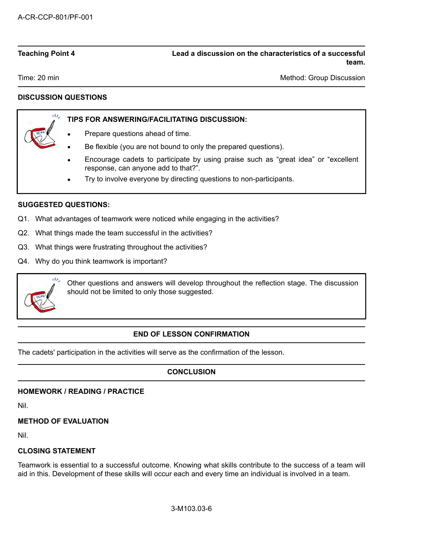# **Teaching Point 4 Lead a discussion on the characteristics of a successful team.**

Time: 20 min Method: Group Discussion Nethod: Group Discussion

# **DISCUSSION QUESTIONS**

# **TIPS FOR ANSWERING/FACILITATING DISCUSSION:**

- Prepare questions ahead of time.
- Be flexible (you are not bound to only the prepared questions).
- Encourage cadets to participate by using praise such as "great idea" or "excellent response, can anyone add to that?".
- Try to involve everyone by directing questions to non-participants.

# **SUGGESTED QUESTIONS:**

- Q1. What advantages of teamwork were noticed while engaging in the activities?
- Q2. What things made the team successful in the activities?
- Q3. What things were frustrating throughout the activities?
- Q4. Why do you think teamwork is important?



Other questions and answers will develop throughout the reflection stage. The discussion should not be limited to only those suggested.

# **END OF LESSON CONFIRMATION**

The cadets' participation in the activities will serve as the confirmation of the lesson.

# **CONCLUSION**

# **HOMEWORK / READING / PRACTICE**

Nil.

# **METHOD OF EVALUATION**

Nil.

# **CLOSING STATEMENT**

Teamwork is essential to a successful outcome. Knowing what skills contribute to the success of a team will aid in this. Development of these skills will occur each and every time an individual is involved in a team.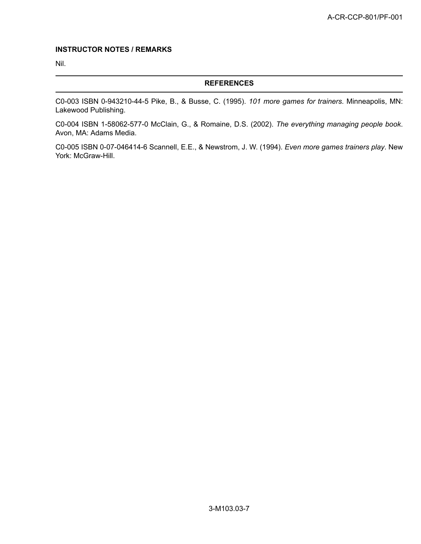#### **INSTRUCTOR NOTES / REMARKS**

Nil.

#### **REFERENCES**

C0-003 ISBN 0-943210-44-5 Pike, B., & Busse, C. (1995). *101 more games for trainers*. Minneapolis, MN: Lakewood Publishing.

C0-004 ISBN 1-58062-577-0 McClain, G., & Romaine, D.S. (2002). *The everything managing people book*. Avon, MA: Adams Media.

C0-005 ISBN 0-07-046414-6 Scannell, E.E., & Newstrom, J. W. (1994). *Even more games trainers play*. New York: McGraw-Hill.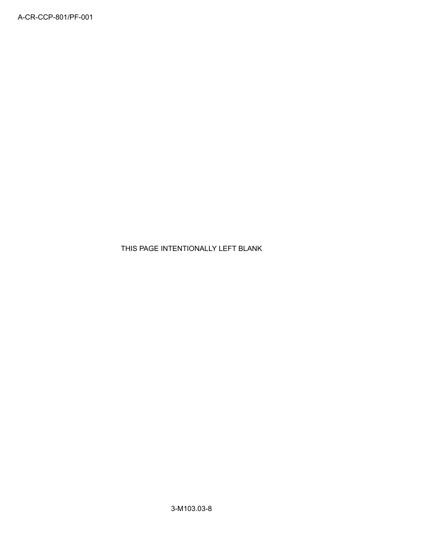THIS PAGE INTENTIONALLY LEFT BLANK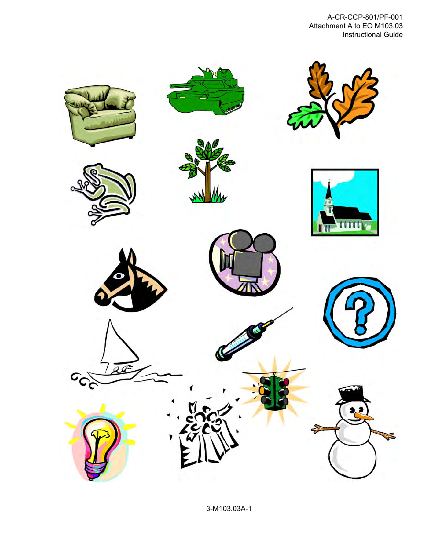A-CR-CCP-801/PF-001 Attachment A to EO M103.03 Instructional Guide

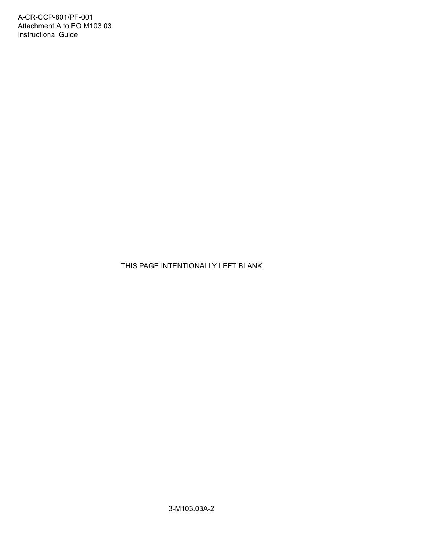A-CR-CCP-801/PF-001 Attachment A to EO M103.03 Instructional Guide

THIS PAGE INTENTIONALLY LEFT BLANK

3-M103.03A-2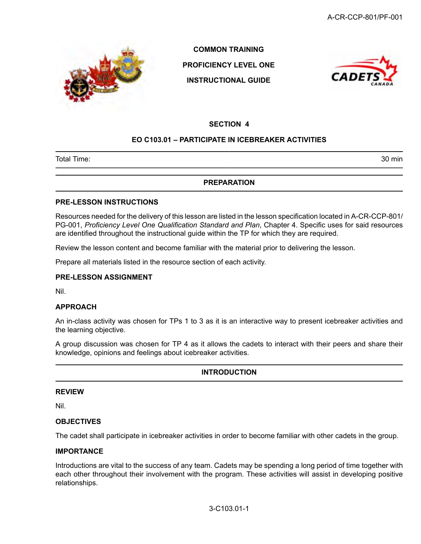

**COMMON TRAINING**

**PROFICIENCY LEVEL ONE**

**INSTRUCTIONAL GUIDE**



# **SECTION 4**

# **EO C103.01 – PARTICIPATE IN ICEBREAKER ACTIVITIES**

Total Time: 30 min

# **PREPARATION**

#### **PRE-LESSON INSTRUCTIONS**

Resources needed for the delivery of this lesson are listed in the lesson specification located in A-CR-CCP-801/ PG-001, *Proficiency Level One Qualification Standard and Plan*, Chapter 4. Specific uses for said resources are identified throughout the instructional guide within the TP for which they are required.

Review the lesson content and become familiar with the material prior to delivering the lesson.

Prepare all materials listed in the resource section of each activity.

# **PRE-LESSON ASSIGNMENT**

Nil.

#### **APPROACH**

An in-class activity was chosen for TPs 1 to 3 as it is an interactive way to present icebreaker activities and the learning objective.

A group discussion was chosen for TP 4 as it allows the cadets to interact with their peers and share their knowledge, opinions and feelings about icebreaker activities.

# **INTRODUCTION**

#### **REVIEW**

Nil.

#### **OBJECTIVES**

The cadet shall participate in icebreaker activities in order to become familiar with other cadets in the group.

#### **IMPORTANCE**

Introductions are vital to the success of any team. Cadets may be spending a long period of time together with each other throughout their involvement with the program. These activities will assist in developing positive relationships.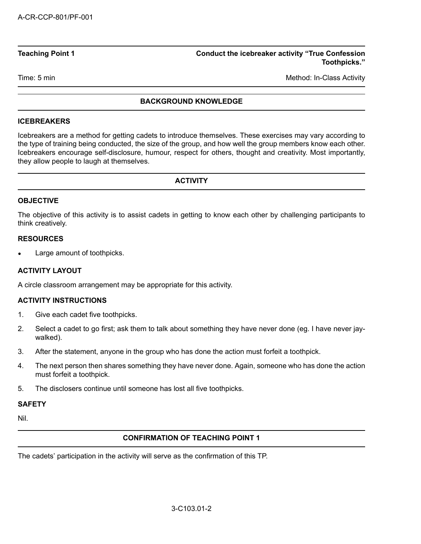**Teaching Point 1 Conduct the icebreaker activity "True Confession Toothpicks."**

Time: 5 min Method: In-Class Activity

# **BACKGROUND KNOWLEDGE**

# **ICEBREAKERS**

Icebreakers are a method for getting cadets to introduce themselves. These exercises may vary according to the type of training being conducted, the size of the group, and how well the group members know each other. Icebreakers encourage self-disclosure, humour, respect for others, thought and creativity. Most importantly, they allow people to laugh at themselves.

# **ACTIVITY**

#### **OBJECTIVE**

The objective of this activity is to assist cadets in getting to know each other by challenging participants to think creatively.

# **RESOURCES**

Large amount of toothpicks.

# **ACTIVITY LAYOUT**

A circle classroom arrangement may be appropriate for this activity.

# **ACTIVITY INSTRUCTIONS**

- 1. Give each cadet five toothpicks.
- 2. Select a cadet to go first; ask them to talk about something they have never done (eg. I have never jaywalked).
- 3. After the statement, anyone in the group who has done the action must forfeit a toothpick.
- 4. The next person then shares something they have never done. Again, someone who has done the action must forfeit a toothpick.
- 5. The disclosers continue until someone has lost all five toothpicks.

# **SAFETY**

Nil.

# **CONFIRMATION OF TEACHING POINT 1**

The cadets' participation in the activity will serve as the confirmation of this TP.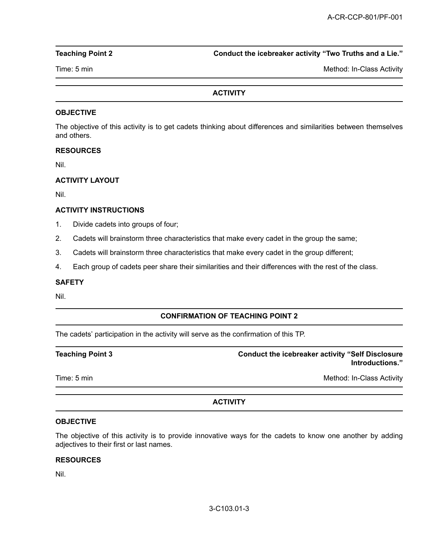# **Teaching Point 2 Conduct the icebreaker activity "Two Truths and a Lie."**

Time: 5 min Method: In-Class Activity

# **ACTIVITY**

#### **OBJECTIVE**

The objective of this activity is to get cadets thinking about differences and similarities between themselves and others.

#### **RESOURCES**

Nil.

#### **ACTIVITY LAYOUT**

Nil.

#### **ACTIVITY INSTRUCTIONS**

- 1. Divide cadets into groups of four;
- 2. Cadets will brainstorm three characteristics that make every cadet in the group the same;
- 3. Cadets will brainstorm three characteristics that make every cadet in the group different;
- 4. Each group of cadets peer share their similarities and their differences with the rest of the class.

### **SAFETY**

Nil.

# **CONFIRMATION OF TEACHING POINT 2**

The cadets' participation in the activity will serve as the confirmation of this TP.

**Teaching Point 3 Conduct the icebreaker activity "Self Disclosure Introductions."**

Time: 5 min Method: In-Class Activity

**ACTIVITY**

# **OBJECTIVE**

The objective of this activity is to provide innovative ways for the cadets to know one another by adding adjectives to their first or last names.

#### **RESOURCES**

Nil.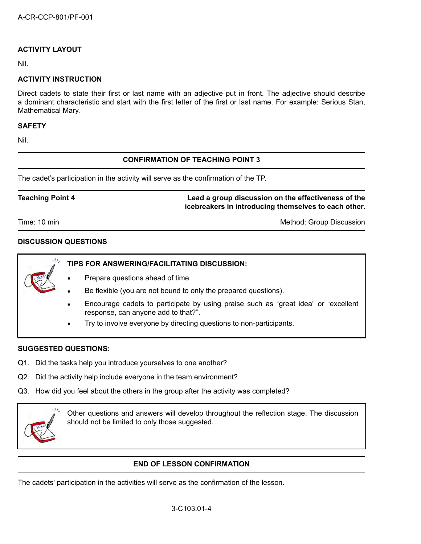# **ACTIVITY LAYOUT**

Nil.

# **ACTIVITY INSTRUCTION**

Direct cadets to state their first or last name with an adjective put in front. The adjective should describe a dominant characteristic and start with the first letter of the first or last name. For example: Serious Stan, Mathematical Mary.

# **SAFETY**

Nil.

# **CONFIRMATION OF TEACHING POINT 3**

The cadet's participation in the activity will serve as the confirmation of the TP.

**Teaching Point 4 Lead a group discussion on the effectiveness of the icebreakers in introducing themselves to each other.**

Time: 10 min Method: Group Discussion

# **DISCUSSION QUESTIONS**

# **TIPS FOR ANSWERING/FACILITATING DISCUSSION:**

- Prepare questions ahead of time.
- Be flexible (you are not bound to only the prepared questions).
- Encourage cadets to participate by using praise such as "great idea" or "excellent response, can anyone add to that?".
- Try to involve everyone by directing questions to non-participants.

#### **SUGGESTED QUESTIONS:**

- Q1. Did the tasks help you introduce yourselves to one another?
- Q2. Did the activity help include everyone in the team environment?
- Q3. How did you feel about the others in the group after the activity was completed?



Other questions and answers will develop throughout the reflection stage. The discussion should not be limited to only those suggested.

# **END OF LESSON CONFIRMATION**

The cadets' participation in the activities will serve as the confirmation of the lesson.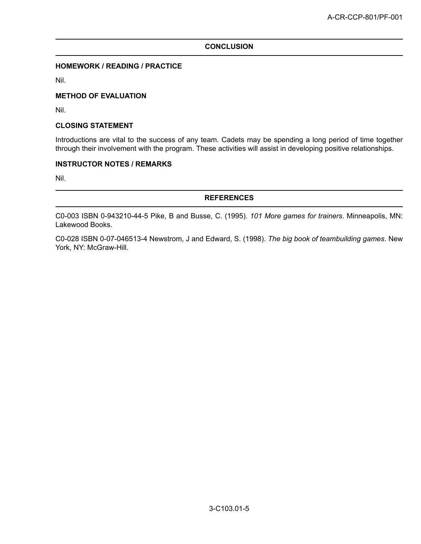# **CONCLUSION**

#### **HOMEWORK / READING / PRACTICE**

Nil.

# **METHOD OF EVALUATION**

Nil.

#### **CLOSING STATEMENT**

Introductions are vital to the success of any team. Cadets may be spending a long period of time together through their involvement with the program. These activities will assist in developing positive relationships.

#### **INSTRUCTOR NOTES / REMARKS**

Nil.

#### **REFERENCES**

C0-003 ISBN 0-943210-44-5 Pike, B and Busse, C. (1995). *101 More games for trainers*. Minneapolis, MN: Lakewood Books.

C0-028 ISBN 0-07-046513-4 Newstrom, J and Edward, S. (1998). *The big book of teambuilding games*. New York, NY: McGraw-Hill.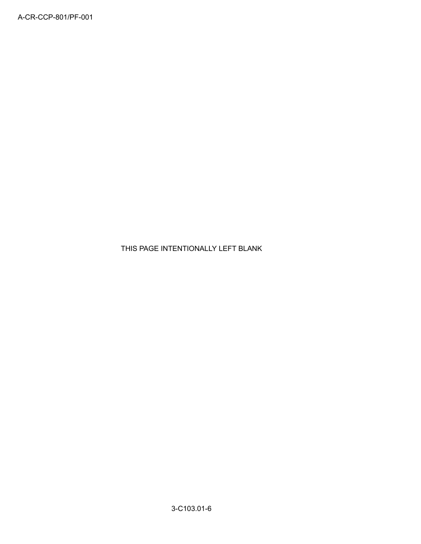THIS PAGE INTENTIONALLY LEFT BLANK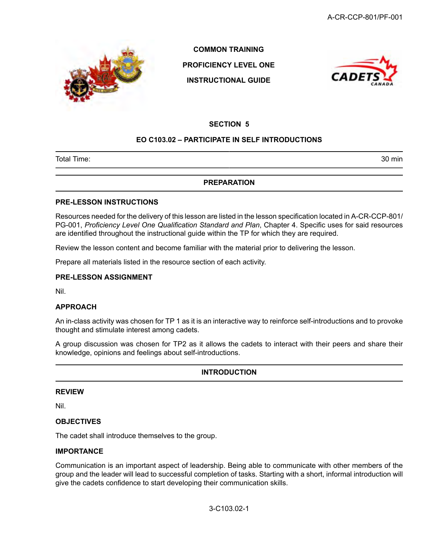

**COMMON TRAINING**

**PROFICIENCY LEVEL ONE**

**INSTRUCTIONAL GUIDE**



#### **SECTION 5**

### **EO C103.02 – PARTICIPATE IN SELF INTRODUCTIONS**

Total Time: 30 min

# **PREPARATION**

#### **PRE-LESSON INSTRUCTIONS**

Resources needed for the delivery of this lesson are listed in the lesson specification located in A-CR-CCP-801/ PG-001, *Proficiency Level One Qualification Standard and Plan*, Chapter 4. Specific uses for said resources are identified throughout the instructional guide within the TP for which they are required.

Review the lesson content and become familiar with the material prior to delivering the lesson.

Prepare all materials listed in the resource section of each activity.

# **PRE-LESSON ASSIGNMENT**

Nil.

#### **APPROACH**

An in-class activity was chosen for TP 1 as it is an interactive way to reinforce self-introductions and to provoke thought and stimulate interest among cadets.

A group discussion was chosen for TP2 as it allows the cadets to interact with their peers and share their knowledge, opinions and feelings about self-introductions.

# **INTRODUCTION**

#### **REVIEW**

Nil.

#### **OBJECTIVES**

The cadet shall introduce themselves to the group.

#### **IMPORTANCE**

Communication is an important aspect of leadership. Being able to communicate with other members of the group and the leader will lead to successful completion of tasks. Starting with a short, informal introduction will give the cadets confidence to start developing their communication skills.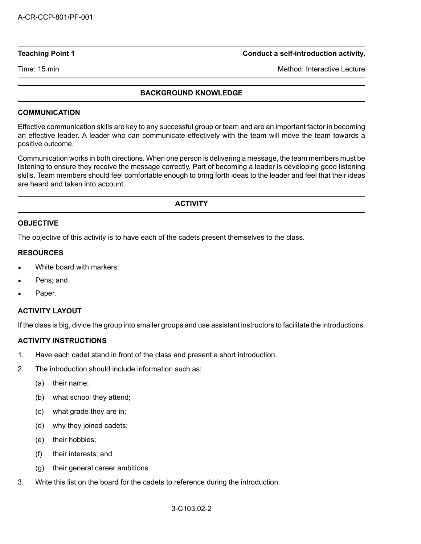**Teaching Point 1 Conduct a self-introduction activity.**

Time: 15 min Method: Interactive Lecture Communication of the Method: Interactive Lecture

#### **BACKGROUND KNOWLEDGE**

### **COMMUNICATION**

Effective communication skills are key to any successful group or team and are an important factor in becoming an effective leader. A leader who can communicate effectively with the team will move the team towards a positive outcome.

Communication works in both directions. When one person is delivering a message, the team members must be listening to ensure they receive the message correctly. Part of becoming a leader is developing good listening skills. Team members should feel comfortable enough to bring forth ideas to the leader and feel that their ideas are heard and taken into account.

**ACTIVITY**

#### **OBJECTIVE**

The objective of this activity is to have each of the cadets present themselves to the class.

#### **RESOURCES**

- White board with markers;
- Pens; and
- Paper.

# **ACTIVITY LAYOUT**

If the class is big, divide the group into smaller groups and use assistant instructors to facilitate the introductions.

# **ACTIVITY INSTRUCTIONS**

- 1. Have each cadet stand in front of the class and present a short introduction.
- 2. The introduction should include information such as:
	- (a) their name;
	- (b) what school they attend;
	- (c) what grade they are in;
	- (d) why they joined cadets;
	- (e) their hobbies;
	- (f) their interests; and
	- (g) their general career ambitions.
- 3. Write this list on the board for the cadets to reference during the introduction.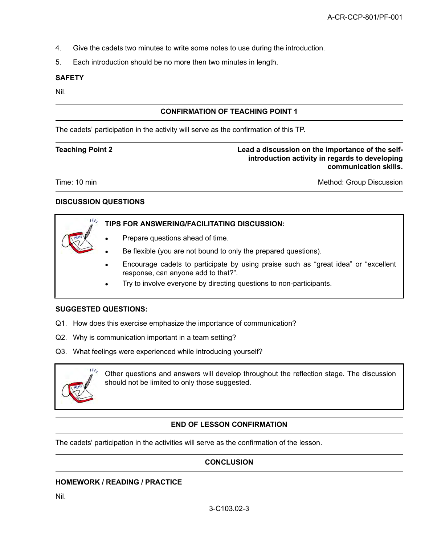- 4. Give the cadets two minutes to write some notes to use during the introduction.
- 5. Each introduction should be no more then two minutes in length.

#### **SAFETY**

Nil.

# **CONFIRMATION OF TEACHING POINT 1**

The cadets' participation in the activity will serve as the confirmation of this TP.

# **Teaching Point 2 Lead a discussion on the importance of the selfintroduction activity in regards to developing communication skills.**

Time: 10 min Method: Group Discussion

#### **DISCUSSION QUESTIONS**

u,

#### **TIPS FOR ANSWERING/FACILITATING DISCUSSION:**

- Prepare questions ahead of time.
- Be flexible (you are not bound to only the prepared questions).
- Encourage cadets to participate by using praise such as "great idea" or "excellent response, can anyone add to that?".
- Try to involve everyone by directing questions to non-participants.

#### **SUGGESTED QUESTIONS:**

- Q1. How does this exercise emphasize the importance of communication?
- Q2. Why is communication important in a team setting?
- Q3. What feelings were experienced while introducing yourself?



Other questions and answers will develop throughout the reflection stage. The discussion should not be limited to only those suggested.

#### **END OF LESSON CONFIRMATION**

The cadets' participation in the activities will serve as the confirmation of the lesson.

# **CONCLUSION**

# **HOMEWORK / READING / PRACTICE**

Nil.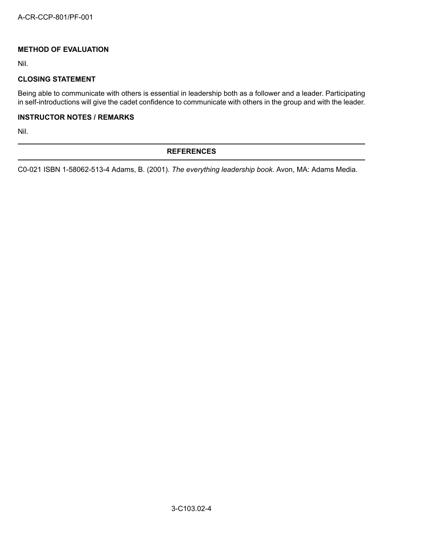# **METHOD OF EVALUATION**

Nil.

# **CLOSING STATEMENT**

Being able to communicate with others is essential in leadership both as a follower and a leader. Participating in self-introductions will give the cadet confidence to communicate with others in the group and with the leader.

# **INSTRUCTOR NOTES / REMARKS**

Nil.

# **REFERENCES**

C0-021 ISBN 1-58062-513-4 Adams, B. (2001). *The everything leadership book*. Avon, MA: Adams Media.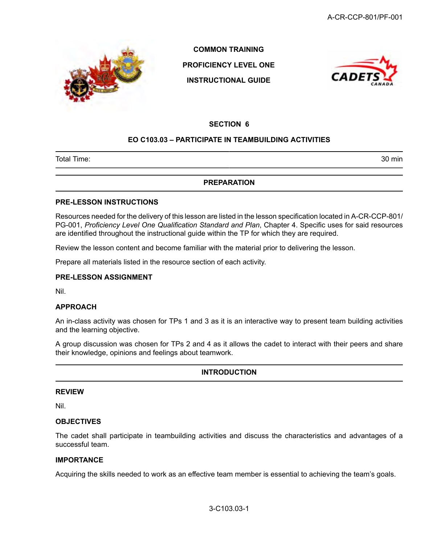

**COMMON TRAINING**

**PROFICIENCY LEVEL ONE**

**INSTRUCTIONAL GUIDE**



#### **SECTION 6**

# **EO C103.03 – PARTICIPATE IN TEAMBUILDING ACTIVITIES**

Total Time: 30 min

# **PREPARATION**

#### **PRE-LESSON INSTRUCTIONS**

Resources needed for the delivery of this lesson are listed in the lesson specification located in A-CR-CCP-801/ PG-001, *Proficiency Level One Qualification Standard and Plan*, Chapter 4. Specific uses for said resources are identified throughout the instructional guide within the TP for which they are required.

Review the lesson content and become familiar with the material prior to delivering the lesson.

Prepare all materials listed in the resource section of each activity.

# **PRE-LESSON ASSIGNMENT**

Nil.

#### **APPROACH**

An in-class activity was chosen for TPs 1 and 3 as it is an interactive way to present team building activities and the learning objective.

A group discussion was chosen for TPs 2 and 4 as it allows the cadet to interact with their peers and share their knowledge, opinions and feelings about teamwork.

**INTRODUCTION**

#### **REVIEW**

Nil.

#### **OBJECTIVES**

The cadet shall participate in teambuilding activities and discuss the characteristics and advantages of a successful team.

#### **IMPORTANCE**

Acquiring the skills needed to work as an effective team member is essential to achieving the team's goals.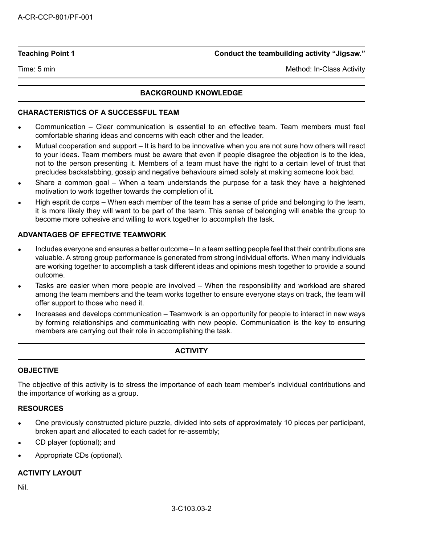**Teaching Point 1 Conduct the teambuilding activity "Jigsaw."**

Time: 5 min Method: In-Class Activity

#### **BACKGROUND KNOWLEDGE**

#### **CHARACTERISTICS OF A SUCCESSFUL TEAM**

- Communication Clear communication is essential to an effective team. Team members must feel comfortable sharing ideas and concerns with each other and the leader.
- Mutual cooperation and support It is hard to be innovative when you are not sure how others will react to your ideas. Team members must be aware that even if people disagree the objection is to the idea, not to the person presenting it. Members of a team must have the right to a certain level of trust that precludes backstabbing, gossip and negative behaviours aimed solely at making someone look bad.
- Share a common goal When a team understands the purpose for a task they have a heightened motivation to work together towards the completion of it.
- High esprit de corps When each member of the team has a sense of pride and belonging to the team, it is more likely they will want to be part of the team. This sense of belonging will enable the group to become more cohesive and willing to work together to accomplish the task.

# **ADVANTAGES OF EFFECTIVE TEAMWORK**

- Includes everyone and ensures a better outcome – In a team setting people feel that their contributions are valuable. A strong group performance is generated from strong individual efforts. When many individuals are working together to accomplish a task different ideas and opinions mesh together to provide a sound outcome.
- Tasks are easier when more people are involved When the responsibility and workload are shared among the team members and the team works together to ensure everyone stays on track, the team will offer support to those who need it.
- Increases and develops communication – Teamwork is an opportunity for people to interact in new ways by forming relationships and communicating with new people. Communication is the key to ensuring members are carrying out their role in accomplishing the task.

# **ACTIVITY**

#### **OBJECTIVE**

The objective of this activity is to stress the importance of each team member's individual contributions and the importance of working as a group.

# **RESOURCES**

- One previously constructed picture puzzle, divided into sets of approximately 10 pieces per participant, broken apart and allocated to each cadet for re-assembly;
- CD player (optional); and
- Appropriate CDs (optional).

# **ACTIVITY LAYOUT**

Nil.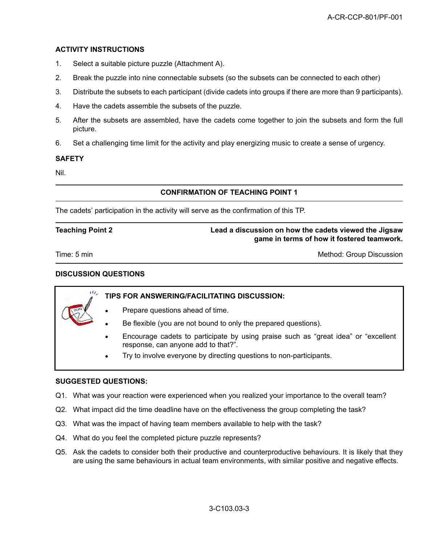# **ACTIVITY INSTRUCTIONS**

- 1. Select a suitable picture puzzle (Attachment A).
- 2. Break the puzzle into nine connectable subsets (so the subsets can be connected to each other)
- 3. Distribute the subsets to each participant (divide cadets into groups if there are more than 9 participants).
- 4. Have the cadets assemble the subsets of the puzzle.
- 5. After the subsets are assembled, have the cadets come together to join the subsets and form the full picture.
- 6. Set a challenging time limit for the activity and play energizing music to create a sense of urgency.

#### **SAFETY**

Nil.

# **CONFIRMATION OF TEACHING POINT 1**

The cadets' participation in the activity will serve as the confirmation of this TP.

# **Teaching Point 2 Lead a discussion on how the cadets viewed the Jigsaw game in terms of how it fostered teamwork.**

Time: 5 min Method: Group Discussion Nethod: Group Discussion

# **DISCUSSION QUESTIONS**

ŵ,

# **TIPS FOR ANSWERING/FACILITATING DISCUSSION:**

- Prepare questions ahead of time.
- Be flexible (you are not bound to only the prepared questions).
- Encourage cadets to participate by using praise such as "great idea" or "excellent response, can anyone add to that?".
- Try to involve everyone by directing questions to non-participants.

# **SUGGESTED QUESTIONS:**

- Q1. What was your reaction were experienced when you realized your importance to the overall team?
- Q2. What impact did the time deadline have on the effectiveness the group completing the task?
- Q3. What was the impact of having team members available to help with the task?
- Q4. What do you feel the completed picture puzzle represents?
- Q5. Ask the cadets to consider both their productive and counterproductive behaviours. It is likely that they are using the same behaviours in actual team environments, with similar positive and negative effects.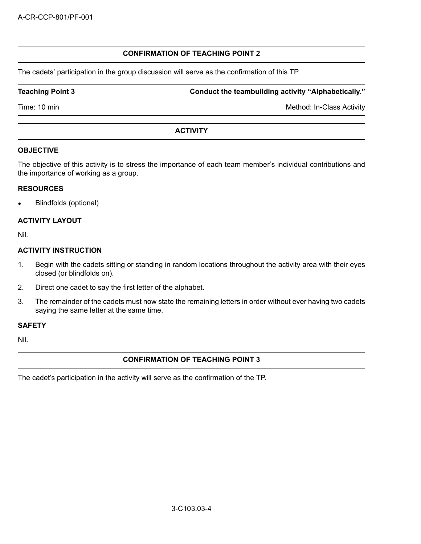# **CONFIRMATION OF TEACHING POINT 2**

The cadets' participation in the group discussion will serve as the confirmation of this TP.

**Teaching Point 3 Conduct the teambuilding activity "Alphabetically."**

Time: 10 min Method: In-Class Activity

#### **ACTIVITY**

#### **OBJECTIVE**

The objective of this activity is to stress the importance of each team member's individual contributions and the importance of working as a group.

#### **RESOURCES**

• Blindfolds (optional)

# **ACTIVITY LAYOUT**

Nil.

#### **ACTIVITY INSTRUCTION**

- 1. Begin with the cadets sitting or standing in random locations throughout the activity area with their eyes closed (or blindfolds on).
- 2. Direct one cadet to say the first letter of the alphabet.
- 3. The remainder of the cadets must now state the remaining letters in order without ever having two cadets saying the same letter at the same time.

# **SAFETY**

Nil.

# **CONFIRMATION OF TEACHING POINT 3**

The cadet's participation in the activity will serve as the confirmation of the TP.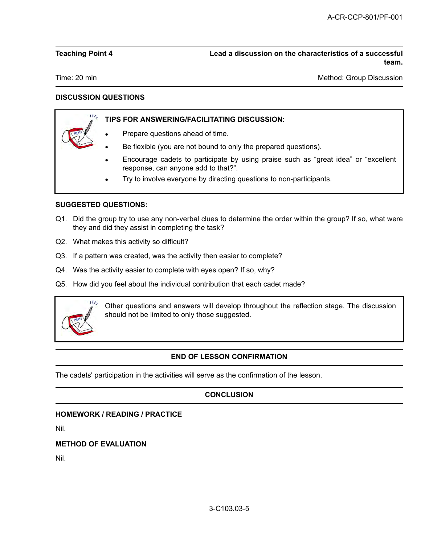#### **Teaching Point 4 Lead a discussion on the characteristics of a successful team.**

Time: 20 min Method: Group Discussion Nethod: Group Discussion

#### **DISCUSSION QUESTIONS**

uz.

#### **TIPS FOR ANSWERING/FACILITATING DISCUSSION:**

- Prepare questions ahead of time.
- Be flexible (you are not bound to only the prepared questions).
- Encourage cadets to participate by using praise such as "great idea" or "excellent response, can anyone add to that?".
- Try to involve everyone by directing questions to non-participants.

#### **SUGGESTED QUESTIONS:**

- Q1. Did the group try to use any non-verbal clues to determine the order within the group? If so, what were they and did they assist in completing the task?
- Q2. What makes this activity so difficult?
- Q3. If a pattern was created, was the activity then easier to complete?
- Q4. Was the activity easier to complete with eyes open? If so, why?
- Q5. How did you feel about the individual contribution that each cadet made?



Other questions and answers will develop throughout the reflection stage. The discussion should not be limited to only those suggested.

# **END OF LESSON CONFIRMATION**

The cadets' participation in the activities will serve as the confirmation of the lesson.

# **CONCLUSION**

#### **HOMEWORK / READING / PRACTICE**

Nil.

#### **METHOD OF EVALUATION**

Nil.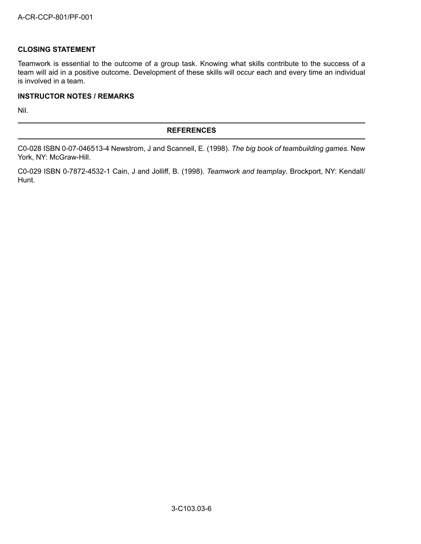# **CLOSING STATEMENT**

Teamwork is essential to the outcome of a group task. Knowing what skills contribute to the success of a team will aid in a positive outcome. Development of these skills will occur each and every time an individual is involved in a team.

# **INSTRUCTOR NOTES / REMARKS**

Nil.

# **REFERENCES**

C0-028 ISBN 0-07-046513-4 Newstrom, J and Scannell, E. (1998). *The big book of teambuilding games*. New York, NY: McGraw-Hill.

C0-029 ISBN 0-7872-4532-1 Cain, J and Jolliff, B. (1998). *Teamwork and teamplay*. Brockport, NY: Kendall/ Hunt.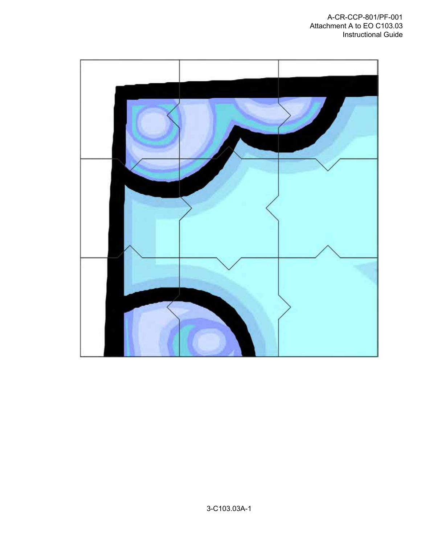